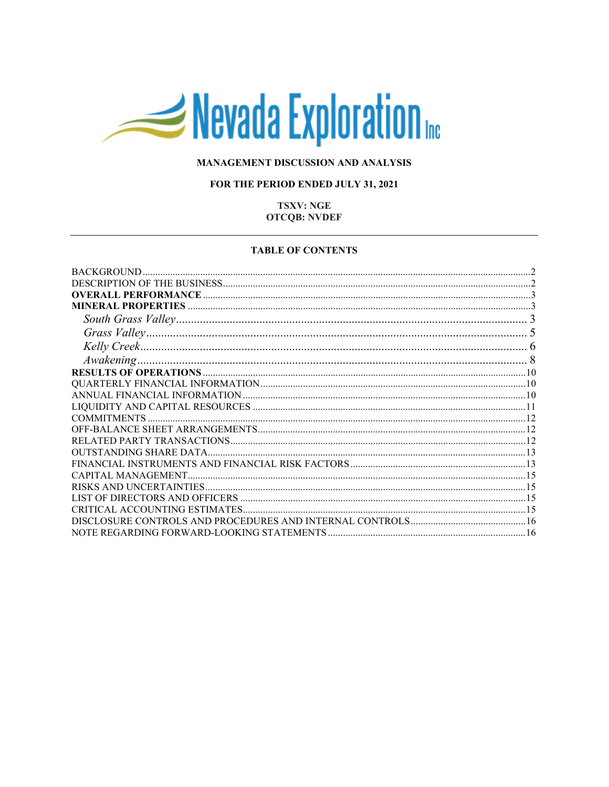# Nevada Exploration

## MANAGEMENT DISCUSSION AND ANALYSIS

## FOR THE PERIOD ENDED JULY 31, 2021

## **TSXV: NGE OTCQB: NVDEF**

#### **TABLE OF CONTENTS**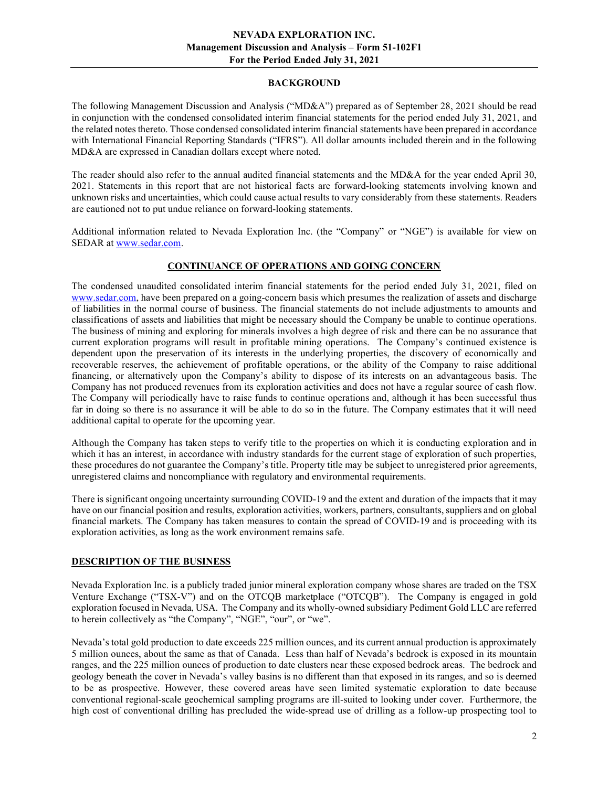## BACKGROUND

The following Management Discussion and Analysis ("MD&A") prepared as of September 28, 2021 should be read in conjunction with the condensed consolidated interim financial statements for the period ended July 31, 2021, and the related notes thereto. Those condensed consolidated interim financial statements have been prepared in accordance with International Financial Reporting Standards ("IFRS"). All dollar amounts included therein and in the following MD&A are expressed in Canadian dollars except where noted.

The reader should also refer to the annual audited financial statements and the MD&A for the year ended April 30, 2021. Statements in this report that are not historical facts are forward-looking statements involving known and unknown risks and uncertainties, which could cause actual results to vary considerably from these statements. Readers are cautioned not to put undue reliance on forward-looking statements.

Additional information related to Nevada Exploration Inc. (the "Company" or "NGE") is available for view on SEDAR at www.sedar.com.

# CONTINUANCE OF OPERATIONS AND GOING CONCERN

The condensed unaudited consolidated interim financial statements for the period ended July 31, 2021, filed on www.sedar.com, have been prepared on a going-concern basis which presumes the realization of assets and discharge of liabilities in the normal course of business. The financial statements do not include adjustments to amounts and classifications of assets and liabilities that might be necessary should the Company be unable to continue operations. The business of mining and exploring for minerals involves a high degree of risk and there can be no assurance that current exploration programs will result in profitable mining operations. The Company's continued existence is dependent upon the preservation of its interests in the underlying properties, the discovery of economically and recoverable reserves, the achievement of profitable operations, or the ability of the Company to raise additional financing, or alternatively upon the Company's ability to dispose of its interests on an advantageous basis. The Company has not produced revenues from its exploration activities and does not have a regular source of cash flow. The Company will periodically have to raise funds to continue operations and, although it has been successful thus far in doing so there is no assurance it will be able to do so in the future. The Company estimates that it will need additional capital to operate for the upcoming year.

Although the Company has taken steps to verify title to the properties on which it is conducting exploration and in which it has an interest, in accordance with industry standards for the current stage of exploration of such properties, these procedures do not guarantee the Company's title. Property title may be subject to unregistered prior agreements, unregistered claims and noncompliance with regulatory and environmental requirements.

There is significant ongoing uncertainty surrounding COVID-19 and the extent and duration of the impacts that it may have on our financial position and results, exploration activities, workers, partners, consultants, suppliers and on global financial markets. The Company has taken measures to contain the spread of COVID-19 and is proceeding with its exploration activities, as long as the work environment remains safe.

## DESCRIPTION OF THE BUSINESS

Nevada Exploration Inc. is a publicly traded junior mineral exploration company whose shares are traded on the TSX Venture Exchange ("TSX-V") and on the OTCQB marketplace ("OTCQB"). The Company is engaged in gold exploration focused in Nevada, USA. The Company and its wholly-owned subsidiary Pediment Gold LLC are referred to herein collectively as "the Company", "NGE", "our", or "we".

Nevada's total gold production to date exceeds 225 million ounces, and its current annual production is approximately 5 million ounces, about the same as that of Canada. Less than half of Nevada's bedrock is exposed in its mountain ranges, and the 225 million ounces of production to date clusters near these exposed bedrock areas. The bedrock and geology beneath the cover in Nevada's valley basins is no different than that exposed in its ranges, and so is deemed to be as prospective. However, these covered areas have seen limited systematic exploration to date because conventional regional-scale geochemical sampling programs are ill-suited to looking under cover. Furthermore, the high cost of conventional drilling has precluded the wide-spread use of drilling as a follow-up prospecting tool to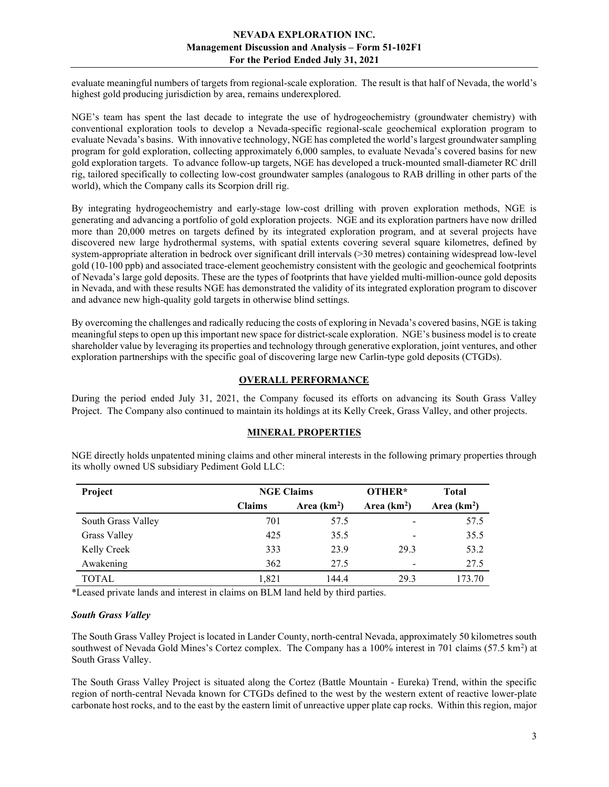evaluate meaningful numbers of targets from regional-scale exploration. The result is that half of Nevada, the world's highest gold producing jurisdiction by area, remains underexplored.

NGE's team has spent the last decade to integrate the use of hydrogeochemistry (groundwater chemistry) with conventional exploration tools to develop a Nevada-specific regional-scale geochemical exploration program to evaluate Nevada's basins. With innovative technology, NGE has completed the world's largest groundwater sampling program for gold exploration, collecting approximately 6,000 samples, to evaluate Nevada's covered basins for new gold exploration targets. To advance follow-up targets, NGE has developed a truck-mounted small-diameter RC drill rig, tailored specifically to collecting low-cost groundwater samples (analogous to RAB drilling in other parts of the world), which the Company calls its Scorpion drill rig.

By integrating hydrogeochemistry and early-stage low-cost drilling with proven exploration methods, NGE is generating and advancing a portfolio of gold exploration projects. NGE and its exploration partners have now drilled more than 20,000 metres on targets defined by its integrated exploration program, and at several projects have discovered new large hydrothermal systems, with spatial extents covering several square kilometres, defined by system-appropriate alteration in bedrock over significant drill intervals (>30 metres) containing widespread low-level gold (10-100 ppb) and associated trace-element geochemistry consistent with the geologic and geochemical footprints of Nevada's large gold deposits. These are the types of footprints that have yielded multi-million-ounce gold deposits in Nevada, and with these results NGE has demonstrated the validity of its integrated exploration program to discover and advance new high-quality gold targets in otherwise blind settings.

By overcoming the challenges and radically reducing the costs of exploring in Nevada's covered basins, NGE is taking meaningful steps to open up this important new space for district-scale exploration. NGE's business model is to create shareholder value by leveraging its properties and technology through generative exploration, joint ventures, and other exploration partnerships with the specific goal of discovering large new Carlin-type gold deposits (CTGDs).

# OVERALL PERFORMANCE

During the period ended July 31, 2021, the Company focused its efforts on advancing its South Grass Valley Project. The Company also continued to maintain its holdings at its Kelly Creek, Grass Valley, and other projects.

## MINERAL PROPERTIES

NGE directly holds unpatented mining claims and other mineral interests in the following primary properties through its wholly owned US subsidiary Pediment Gold LLC:

| Project            | <b>NGE Claims</b> |               | OTHER*       | <b>Total</b> |
|--------------------|-------------------|---------------|--------------|--------------|
|                    | <b>Claims</b>     | Area $(km^2)$ | Area $(km2)$ | Area $(km2)$ |
| South Grass Valley | 701               | 57.5          |              | 57.5         |
| Grass Valley       | 425               | 35.5          |              | 35.5         |
| Kelly Creek        | 333               | 23.9          | 29.3         | 53.2         |
| Awakening          | 362               | 27.5          | -            | 27.5         |
| <b>TOTAL</b>       | 1,821             | 144.4         | 29.3         | 173.70       |

\*Leased private lands and interest in claims on BLM land held by third parties.

#### South Grass Valley

The South Grass Valley Project is located in Lander County, north-central Nevada, approximately 50 kilometres south southwest of Nevada Gold Mines's Cortez complex. The Company has a 100% interest in 701 claims (57.5 km<sup>2</sup>) at South Grass Valley.

The South Grass Valley Project is situated along the Cortez (Battle Mountain - Eureka) Trend, within the specific region of north-central Nevada known for CTGDs defined to the west by the western extent of reactive lower-plate carbonate host rocks, and to the east by the eastern limit of unreactive upper plate cap rocks. Within this region, major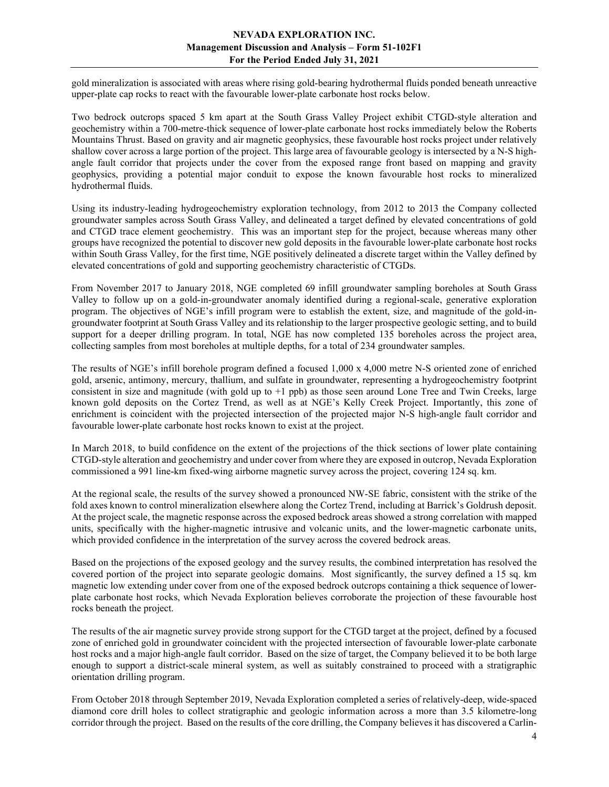gold mineralization is associated with areas where rising gold-bearing hydrothermal fluids ponded beneath unreactive upper-plate cap rocks to react with the favourable lower-plate carbonate host rocks below.

Two bedrock outcrops spaced 5 km apart at the South Grass Valley Project exhibit CTGD-style alteration and geochemistry within a 700-metre-thick sequence of lower-plate carbonate host rocks immediately below the Roberts Mountains Thrust. Based on gravity and air magnetic geophysics, these favourable host rocks project under relatively shallow cover across a large portion of the project. This large area of favourable geology is intersected by a N-S highangle fault corridor that projects under the cover from the exposed range front based on mapping and gravity geophysics, providing a potential major conduit to expose the known favourable host rocks to mineralized hydrothermal fluids.

Using its industry-leading hydrogeochemistry exploration technology, from 2012 to 2013 the Company collected groundwater samples across South Grass Valley, and delineated a target defined by elevated concentrations of gold and CTGD trace element geochemistry. This was an important step for the project, because whereas many other groups have recognized the potential to discover new gold deposits in the favourable lower-plate carbonate host rocks within South Grass Valley, for the first time, NGE positively delineated a discrete target within the Valley defined by elevated concentrations of gold and supporting geochemistry characteristic of CTGDs.

From November 2017 to January 2018, NGE completed 69 infill groundwater sampling boreholes at South Grass Valley to follow up on a gold-in-groundwater anomaly identified during a regional-scale, generative exploration program. The objectives of NGE's infill program were to establish the extent, size, and magnitude of the gold-ingroundwater footprint at South Grass Valley and its relationship to the larger prospective geologic setting, and to build support for a deeper drilling program. In total, NGE has now completed 135 boreholes across the project area, collecting samples from most boreholes at multiple depths, for a total of 234 groundwater samples.

The results of NGE's infill borehole program defined a focused 1,000 x 4,000 metre N-S oriented zone of enriched gold, arsenic, antimony, mercury, thallium, and sulfate in groundwater, representing a hydrogeochemistry footprint consistent in size and magnitude (with gold up to +1 ppb) as those seen around Lone Tree and Twin Creeks, large known gold deposits on the Cortez Trend, as well as at NGE's Kelly Creek Project. Importantly, this zone of enrichment is coincident with the projected intersection of the projected major N-S high-angle fault corridor and favourable lower-plate carbonate host rocks known to exist at the project.

In March 2018, to build confidence on the extent of the projections of the thick sections of lower plate containing CTGD-style alteration and geochemistry and under cover from where they are exposed in outcrop, Nevada Exploration commissioned a 991 line-km fixed-wing airborne magnetic survey across the project, covering 124 sq. km.

At the regional scale, the results of the survey showed a pronounced NW-SE fabric, consistent with the strike of the fold axes known to control mineralization elsewhere along the Cortez Trend, including at Barrick's Goldrush deposit. At the project scale, the magnetic response across the exposed bedrock areas showed a strong correlation with mapped units, specifically with the higher-magnetic intrusive and volcanic units, and the lower-magnetic carbonate units, which provided confidence in the interpretation of the survey across the covered bedrock areas.

Based on the projections of the exposed geology and the survey results, the combined interpretation has resolved the covered portion of the project into separate geologic domains. Most significantly, the survey defined a 15 sq. km magnetic low extending under cover from one of the exposed bedrock outcrops containing a thick sequence of lowerplate carbonate host rocks, which Nevada Exploration believes corroborate the projection of these favourable host rocks beneath the project.

The results of the air magnetic survey provide strong support for the CTGD target at the project, defined by a focused zone of enriched gold in groundwater coincident with the projected intersection of favourable lower-plate carbonate host rocks and a major high-angle fault corridor. Based on the size of target, the Company believed it to be both large enough to support a district-scale mineral system, as well as suitably constrained to proceed with a stratigraphic orientation drilling program.

From October 2018 through September 2019, Nevada Exploration completed a series of relatively-deep, wide-spaced diamond core drill holes to collect stratigraphic and geologic information across a more than 3.5 kilometre-long corridor through the project. Based on the results of the core drilling, the Company believes it has discovered a Carlin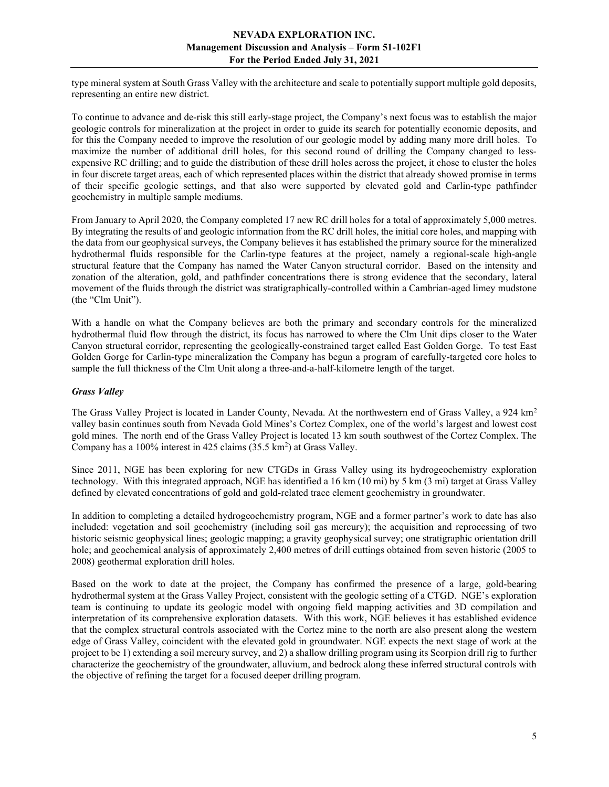type mineral system at South Grass Valley with the architecture and scale to potentially support multiple gold deposits, representing an entire new district.

To continue to advance and de-risk this still early-stage project, the Company's next focus was to establish the major geologic controls for mineralization at the project in order to guide its search for potentially economic deposits, and for this the Company needed to improve the resolution of our geologic model by adding many more drill holes. To maximize the number of additional drill holes, for this second round of drilling the Company changed to lessexpensive RC drilling; and to guide the distribution of these drill holes across the project, it chose to cluster the holes in four discrete target areas, each of which represented places within the district that already showed promise in terms of their specific geologic settings, and that also were supported by elevated gold and Carlin-type pathfinder geochemistry in multiple sample mediums.

From January to April 2020, the Company completed 17 new RC drill holes for a total of approximately 5,000 metres. By integrating the results of and geologic information from the RC drill holes, the initial core holes, and mapping with the data from our geophysical surveys, the Company believes it has established the primary source for the mineralized hydrothermal fluids responsible for the Carlin-type features at the project, namely a regional-scale high-angle structural feature that the Company has named the Water Canyon structural corridor. Based on the intensity and zonation of the alteration, gold, and pathfinder concentrations there is strong evidence that the secondary, lateral movement of the fluids through the district was stratigraphically-controlled within a Cambrian-aged limey mudstone (the "Clm Unit").

With a handle on what the Company believes are both the primary and secondary controls for the mineralized hydrothermal fluid flow through the district, its focus has narrowed to where the Clm Unit dips closer to the Water Canyon structural corridor, representing the geologically-constrained target called East Golden Gorge. To test East Golden Gorge for Carlin-type mineralization the Company has begun a program of carefully-targeted core holes to sample the full thickness of the Clm Unit along a three-and-a-half-kilometre length of the target.

## Grass Valley

The Grass Valley Project is located in Lander County, Nevada. At the northwestern end of Grass Valley, a 924 km<sup>2</sup> valley basin continues south from Nevada Gold Mines's Cortez Complex, one of the world's largest and lowest cost gold mines. The north end of the Grass Valley Project is located 13 km south southwest of the Cortez Complex. The Company has a 100% interest in 425 claims  $(35.5 \text{ km}^2)$  at Grass Valley.

Since 2011, NGE has been exploring for new CTGDs in Grass Valley using its hydrogeochemistry exploration technology. With this integrated approach, NGE has identified a 16 km (10 mi) by 5 km (3 mi) target at Grass Valley defined by elevated concentrations of gold and gold-related trace element geochemistry in groundwater.

In addition to completing a detailed hydrogeochemistry program, NGE and a former partner's work to date has also included: vegetation and soil geochemistry (including soil gas mercury); the acquisition and reprocessing of two historic seismic geophysical lines; geologic mapping; a gravity geophysical survey; one stratigraphic orientation drill hole; and geochemical analysis of approximately 2,400 metres of drill cuttings obtained from seven historic (2005 to 2008) geothermal exploration drill holes.

Based on the work to date at the project, the Company has confirmed the presence of a large, gold-bearing hydrothermal system at the Grass Valley Project, consistent with the geologic setting of a CTGD. NGE's exploration team is continuing to update its geologic model with ongoing field mapping activities and 3D compilation and interpretation of its comprehensive exploration datasets. With this work, NGE believes it has established evidence that the complex structural controls associated with the Cortez mine to the north are also present along the western edge of Grass Valley, coincident with the elevated gold in groundwater. NGE expects the next stage of work at the project to be 1) extending a soil mercury survey, and 2) a shallow drilling program using its Scorpion drill rig to further characterize the geochemistry of the groundwater, alluvium, and bedrock along these inferred structural controls with the objective of refining the target for a focused deeper drilling program.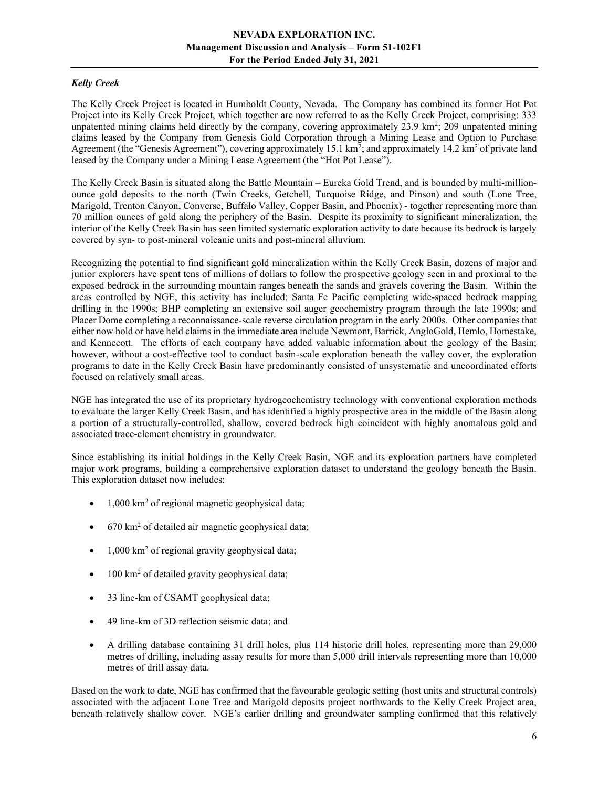# Kelly Creek

The Kelly Creek Project is located in Humboldt County, Nevada. The Company has combined its former Hot Pot Project into its Kelly Creek Project, which together are now referred to as the Kelly Creek Project, comprising: 333 unpatented mining claims held directly by the company, covering approximately 23.9 km<sup>2</sup>; 209 unpatented mining claims leased by the Company from Genesis Gold Corporation through a Mining Lease and Option to Purchase Agreement (the "Genesis Agreement"), covering approximately 15.1 km<sup>2</sup>; and approximately 14.2 km<sup>2</sup> of private land leased by the Company under a Mining Lease Agreement (the "Hot Pot Lease").

The Kelly Creek Basin is situated along the Battle Mountain – Eureka Gold Trend, and is bounded by multi-millionounce gold deposits to the north (Twin Creeks, Getchell, Turquoise Ridge, and Pinson) and south (Lone Tree, Marigold, Trenton Canyon, Converse, Buffalo Valley, Copper Basin, and Phoenix) - together representing more than 70 million ounces of gold along the periphery of the Basin. Despite its proximity to significant mineralization, the interior of the Kelly Creek Basin has seen limited systematic exploration activity to date because its bedrock is largely covered by syn- to post-mineral volcanic units and post-mineral alluvium.

Recognizing the potential to find significant gold mineralization within the Kelly Creek Basin, dozens of major and junior explorers have spent tens of millions of dollars to follow the prospective geology seen in and proximal to the exposed bedrock in the surrounding mountain ranges beneath the sands and gravels covering the Basin. Within the areas controlled by NGE, this activity has included: Santa Fe Pacific completing wide-spaced bedrock mapping drilling in the 1990s; BHP completing an extensive soil auger geochemistry program through the late 1990s; and Placer Dome completing a reconnaissance-scale reverse circulation program in the early 2000s. Other companies that either now hold or have held claims in the immediate area include Newmont, Barrick, AngloGold, Hemlo, Homestake, and Kennecott. The efforts of each company have added valuable information about the geology of the Basin; however, without a cost-effective tool to conduct basin-scale exploration beneath the valley cover, the exploration programs to date in the Kelly Creek Basin have predominantly consisted of unsystematic and uncoordinated efforts focused on relatively small areas.

NGE has integrated the use of its proprietary hydrogeochemistry technology with conventional exploration methods to evaluate the larger Kelly Creek Basin, and has identified a highly prospective area in the middle of the Basin along a portion of a structurally-controlled, shallow, covered bedrock high coincident with highly anomalous gold and associated trace-element chemistry in groundwater.

Since establishing its initial holdings in the Kelly Creek Basin, NGE and its exploration partners have completed major work programs, building a comprehensive exploration dataset to understand the geology beneath the Basin. This exploration dataset now includes:

- 1,000 km<sup>2</sup> of regional magnetic geophysical data;
- 670 km<sup>2</sup> of detailed air magnetic geophysical data;
- 1,000 km<sup>2</sup> of regional gravity geophysical data;
- $\bullet$  100 km<sup>2</sup> of detailed gravity geophysical data;
- 33 line-km of CSAMT geophysical data;
- 49 line-km of 3D reflection seismic data; and
- A drilling database containing 31 drill holes, plus 114 historic drill holes, representing more than 29,000 metres of drilling, including assay results for more than 5,000 drill intervals representing more than 10,000 metres of drill assay data.

Based on the work to date, NGE has confirmed that the favourable geologic setting (host units and structural controls) associated with the adjacent Lone Tree and Marigold deposits project northwards to the Kelly Creek Project area, beneath relatively shallow cover. NGE's earlier drilling and groundwater sampling confirmed that this relatively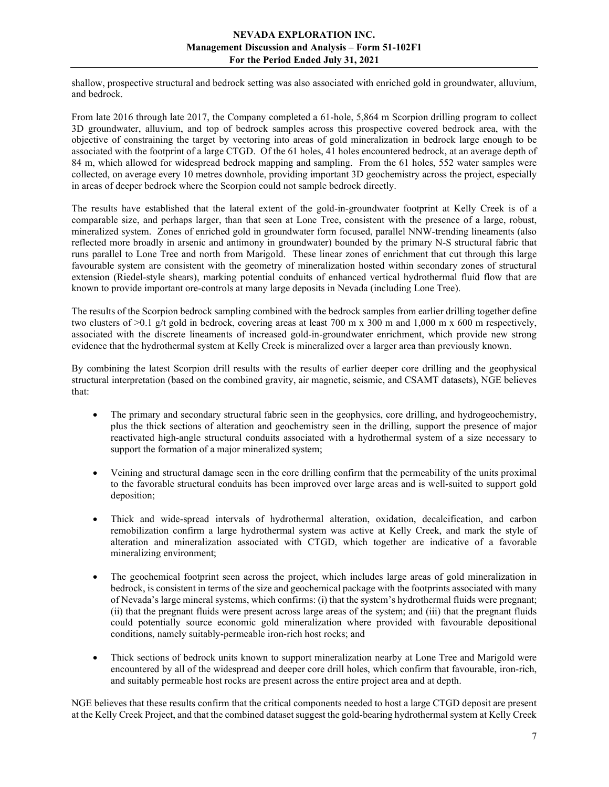shallow, prospective structural and bedrock setting was also associated with enriched gold in groundwater, alluvium, and bedrock.

From late 2016 through late 2017, the Company completed a 61-hole, 5,864 m Scorpion drilling program to collect 3D groundwater, alluvium, and top of bedrock samples across this prospective covered bedrock area, with the objective of constraining the target by vectoring into areas of gold mineralization in bedrock large enough to be associated with the footprint of a large CTGD. Of the 61 holes, 41 holes encountered bedrock, at an average depth of 84 m, which allowed for widespread bedrock mapping and sampling. From the 61 holes, 552 water samples were collected, on average every 10 metres downhole, providing important 3D geochemistry across the project, especially in areas of deeper bedrock where the Scorpion could not sample bedrock directly.

The results have established that the lateral extent of the gold-in-groundwater footprint at Kelly Creek is of a comparable size, and perhaps larger, than that seen at Lone Tree, consistent with the presence of a large, robust, mineralized system. Zones of enriched gold in groundwater form focused, parallel NNW-trending lineaments (also reflected more broadly in arsenic and antimony in groundwater) bounded by the primary N-S structural fabric that runs parallel to Lone Tree and north from Marigold. These linear zones of enrichment that cut through this large favourable system are consistent with the geometry of mineralization hosted within secondary zones of structural extension (Riedel-style shears), marking potential conduits of enhanced vertical hydrothermal fluid flow that are known to provide important ore-controls at many large deposits in Nevada (including Lone Tree).

The results of the Scorpion bedrock sampling combined with the bedrock samples from earlier drilling together define two clusters of  $>0.1$  g/t gold in bedrock, covering areas at least 700 m x 300 m and 1,000 m x 600 m respectively, associated with the discrete lineaments of increased gold-in-groundwater enrichment, which provide new strong evidence that the hydrothermal system at Kelly Creek is mineralized over a larger area than previously known.

By combining the latest Scorpion drill results with the results of earlier deeper core drilling and the geophysical structural interpretation (based on the combined gravity, air magnetic, seismic, and CSAMT datasets), NGE believes that:

- The primary and secondary structural fabric seen in the geophysics, core drilling, and hydrogeochemistry, plus the thick sections of alteration and geochemistry seen in the drilling, support the presence of major reactivated high-angle structural conduits associated with a hydrothermal system of a size necessary to support the formation of a major mineralized system;
- Veining and structural damage seen in the core drilling confirm that the permeability of the units proximal to the favorable structural conduits has been improved over large areas and is well-suited to support gold deposition;
- Thick and wide-spread intervals of hydrothermal alteration, oxidation, decalcification, and carbon remobilization confirm a large hydrothermal system was active at Kelly Creek, and mark the style of alteration and mineralization associated with CTGD, which together are indicative of a favorable mineralizing environment;
- The geochemical footprint seen across the project, which includes large areas of gold mineralization in bedrock, is consistent in terms of the size and geochemical package with the footprints associated with many of Nevada's large mineral systems, which confirms: (i) that the system's hydrothermal fluids were pregnant; (ii) that the pregnant fluids were present across large areas of the system; and (iii) that the pregnant fluids could potentially source economic gold mineralization where provided with favourable depositional conditions, namely suitably-permeable iron-rich host rocks; and
- Thick sections of bedrock units known to support mineralization nearby at Lone Tree and Marigold were encountered by all of the widespread and deeper core drill holes, which confirm that favourable, iron-rich, and suitably permeable host rocks are present across the entire project area and at depth.

NGE believes that these results confirm that the critical components needed to host a large CTGD deposit are present at the Kelly Creek Project, and that the combined dataset suggest the gold-bearing hydrothermal system at Kelly Creek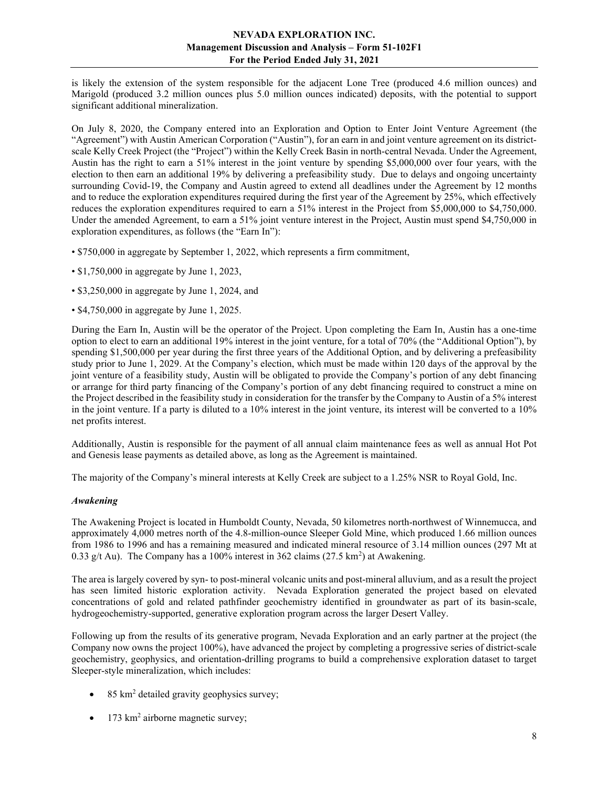is likely the extension of the system responsible for the adjacent Lone Tree (produced 4.6 million ounces) and Marigold (produced 3.2 million ounces plus 5.0 million ounces indicated) deposits, with the potential to support significant additional mineralization.

On July 8, 2020, the Company entered into an Exploration and Option to Enter Joint Venture Agreement (the "Agreement") with Austin American Corporation ("Austin"), for an earn in and joint venture agreement on its districtscale Kelly Creek Project (the "Project") within the Kelly Creek Basin in north-central Nevada. Under the Agreement, Austin has the right to earn a 51% interest in the joint venture by spending \$5,000,000 over four years, with the election to then earn an additional 19% by delivering a prefeasibility study. Due to delays and ongoing uncertainty surrounding Covid-19, the Company and Austin agreed to extend all deadlines under the Agreement by 12 months and to reduce the exploration expenditures required during the first year of the Agreement by 25%, which effectively reduces the exploration expenditures required to earn a 51% interest in the Project from \$5,000,000 to \$4,750,000. Under the amended Agreement, to earn a 51% joint venture interest in the Project, Austin must spend \$4,750,000 in exploration expenditures, as follows (the "Earn In"):

- \$750,000 in aggregate by September 1, 2022, which represents a firm commitment,
- \$1,750,000 in aggregate by June 1, 2023,
- \$3,250,000 in aggregate by June 1, 2024, and
- \$4,750,000 in aggregate by June 1, 2025.

During the Earn In, Austin will be the operator of the Project. Upon completing the Earn In, Austin has a one-time option to elect to earn an additional 19% interest in the joint venture, for a total of 70% (the "Additional Option"), by spending \$1,500,000 per year during the first three years of the Additional Option, and by delivering a prefeasibility study prior to June 1, 2029. At the Company's election, which must be made within 120 days of the approval by the joint venture of a feasibility study, Austin will be obligated to provide the Company's portion of any debt financing or arrange for third party financing of the Company's portion of any debt financing required to construct a mine on the Project described in the feasibility study in consideration for the transfer by the Company to Austin of a 5% interest in the joint venture. If a party is diluted to a 10% interest in the joint venture, its interest will be converted to a 10% net profits interest.

Additionally, Austin is responsible for the payment of all annual claim maintenance fees as well as annual Hot Pot and Genesis lease payments as detailed above, as long as the Agreement is maintained.

The majority of the Company's mineral interests at Kelly Creek are subject to a 1.25% NSR to Royal Gold, Inc.

#### Awakening

The Awakening Project is located in Humboldt County, Nevada, 50 kilometres north-northwest of Winnemucca, and approximately 4,000 metres north of the 4.8-million-ounce Sleeper Gold Mine, which produced 1.66 million ounces from 1986 to 1996 and has a remaining measured and indicated mineral resource of 3.14 million ounces (297 Mt at 0.33 g/t Au). The Company has a 100% interest in 362 claims  $(27.5 \text{ km}^2)$  at Awakening.

The area is largely covered by syn- to post-mineral volcanic units and post-mineral alluvium, and as a result the project has seen limited historic exploration activity. Nevada Exploration generated the project based on elevated concentrations of gold and related pathfinder geochemistry identified in groundwater as part of its basin-scale, hydrogeochemistry-supported, generative exploration program across the larger Desert Valley.

Following up from the results of its generative program, Nevada Exploration and an early partner at the project (the Company now owns the project 100%), have advanced the project by completing a progressive series of district-scale geochemistry, geophysics, and orientation-drilling programs to build a comprehensive exploration dataset to target Sleeper-style mineralization, which includes:

- $\bullet$  85 km<sup>2</sup> detailed gravity geophysics survey;
- $\bullet$  173 km<sup>2</sup> airborne magnetic survey;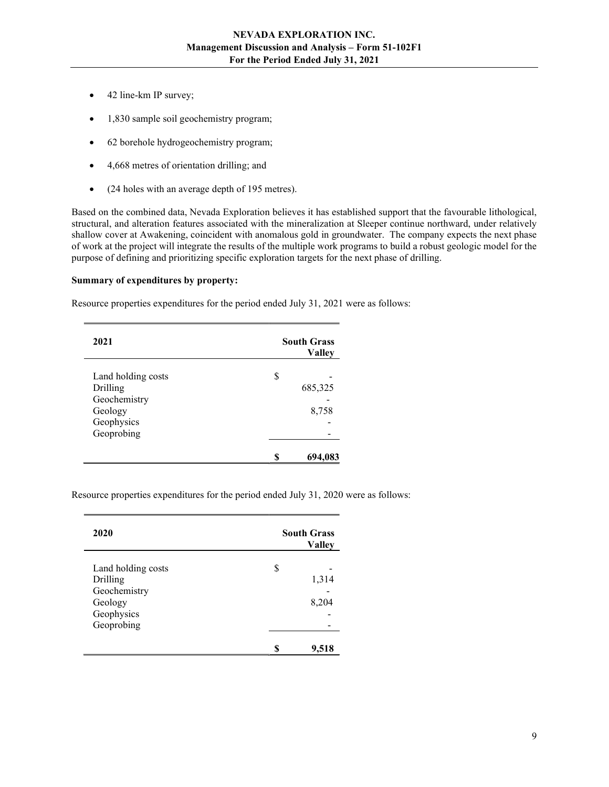- 42 line-km IP survey;
- 1,830 sample soil geochemistry program;
- 62 borehole hydrogeochemistry program;
- 4,668 metres of orientation drilling; and
- (24 holes with an average depth of 195 metres).

Based on the combined data, Nevada Exploration believes it has established support that the favourable lithological, structural, and alteration features associated with the mineralization at Sleeper continue northward, under relatively shallow cover at Awakening, coincident with anomalous gold in groundwater. The company expects the next phase of work at the project will integrate the results of the multiple work programs to build a robust geologic model for the purpose of defining and prioritizing specific exploration targets for the next phase of drilling.

#### Summary of expenditures by property:

Resource properties expenditures for the period ended July 31, 2021 were as follows:

| 2021                                  |   | <b>South Grass</b><br><b>Valley</b> |
|---------------------------------------|---|-------------------------------------|
| Land holding costs<br>Drilling        | S | 685,325                             |
| Geochemistry<br>Geology<br>Geophysics |   | 8,758                               |
| Geoprobing                            |   |                                     |
|                                       |   | 694.0                               |

Resource properties expenditures for the period ended July 31, 2020 were as follows:

| 2020               |   | <b>South Grass</b><br><b>Valley</b> |
|--------------------|---|-------------------------------------|
| Land holding costs | S |                                     |
| Drilling           |   | 1,314                               |
| Geochemistry       |   |                                     |
| Geology            |   | 8,204                               |
| Geophysics         |   |                                     |
| Geoprobing         |   |                                     |
|                    |   | 9,518                               |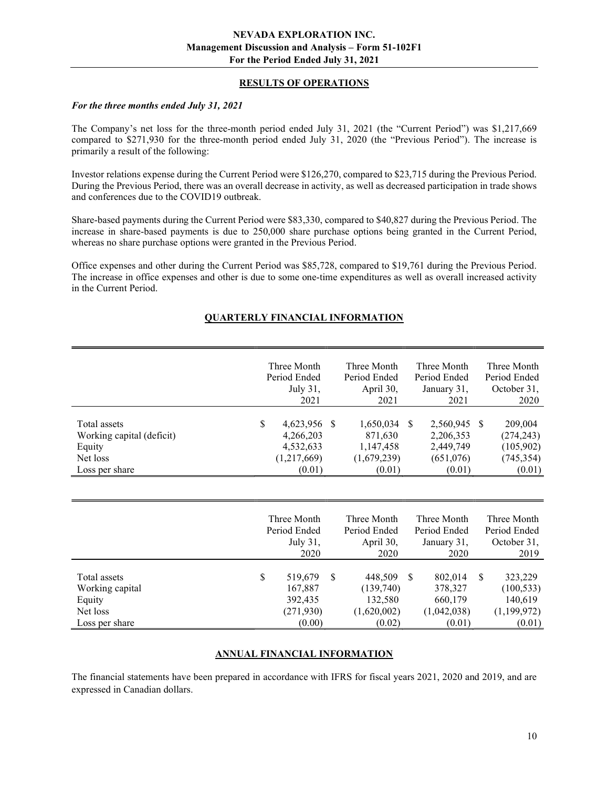## RESULTS OF OPERATIONS

#### For the three months ended July 31, 2021

The Company's net loss for the three-month period ended July 31, 2021 (the "Current Period") was \$1,217,669 compared to \$271,930 for the three-month period ended July 31, 2020 (the "Previous Period"). The increase is primarily a result of the following:

Investor relations expense during the Current Period were \$126,270, compared to \$23,715 during the Previous Period. During the Previous Period, there was an overall decrease in activity, as well as decreased participation in trade shows and conferences due to the COVID19 outbreak.

Share-based payments during the Current Period were \$83,330, compared to \$40,827 during the Previous Period. The increase in share-based payments is due to 250,000 share purchase options being granted in the Current Period, whereas no share purchase options were granted in the Previous Period.

Office expenses and other during the Current Period was \$85,728, compared to \$19,761 during the Previous Period. The increase in office expenses and other is due to some one-time expenditures as well as overall increased activity in the Current Period.

# QUARTERLY FINANCIAL INFORMATION

|                           | Three Month     |               | Three Month  |               | Three Month  | Three Month   |
|---------------------------|-----------------|---------------|--------------|---------------|--------------|---------------|
|                           | Period Ended    |               | Period Ended |               | Period Ended | Period Ended  |
|                           | July 31,        |               | April 30,    |               | January 31,  | October 31,   |
|                           | 2021            |               | 2021         |               | 2021         | 2020          |
|                           |                 |               |              |               |              |               |
| Total assets              | \$<br>4,623,956 | <sup>\$</sup> | 1,650,034    | <sup>S</sup>  | 2,560,945 \$ | 209,004       |
| Working capital (deficit) | 4,266,203       |               | 871,630      |               | 2,206,353    | (274, 243)    |
| Equity                    | 4,532,633       |               | 1,147,458    |               | 2,449,749    | (105,902)     |
| Net loss                  | (1,217,669)     |               | (1,679,239)  |               | (651,076)    | (745, 354)    |
| Loss per share            | (0.01)          |               | (0.01)       |               | (0.01)       | (0.01)        |
|                           |                 |               |              |               |              |               |
|                           |                 |               |              |               |              |               |
|                           |                 |               |              |               |              |               |
|                           | Three Month     |               | Three Month  |               | Three Month  | Three Month   |
|                           | Period Ended    |               | Period Ended |               | Period Ended | Period Ended  |
|                           | July 31,        |               | April 30,    |               | January 31,  | October 31,   |
|                           | 2020            |               | 2020         |               | 2020         | 2019          |
|                           |                 |               |              |               |              |               |
| Total assets              | \$<br>519,679   | \$            | 448,509      | <sup>\$</sup> | 802,014      | \$<br>323,229 |
| Working capital           | 167,887         |               | (139,740)    |               | 378,327      | (100, 533)    |
| Equity                    | 392,435         |               | 132,580      |               | 660,179      | 140,619       |
| Net loss                  | (271, 930)      |               | (1,620,002)  |               | (1,042,038)  | (1,199,972)   |
| Loss per share            | (0.00)          |               | (0.02)       |               | (0.01)       | (0.01)        |

## ANNUAL FINANCIAL INFORMATION

The financial statements have been prepared in accordance with IFRS for fiscal years 2021, 2020 and 2019, and are expressed in Canadian dollars.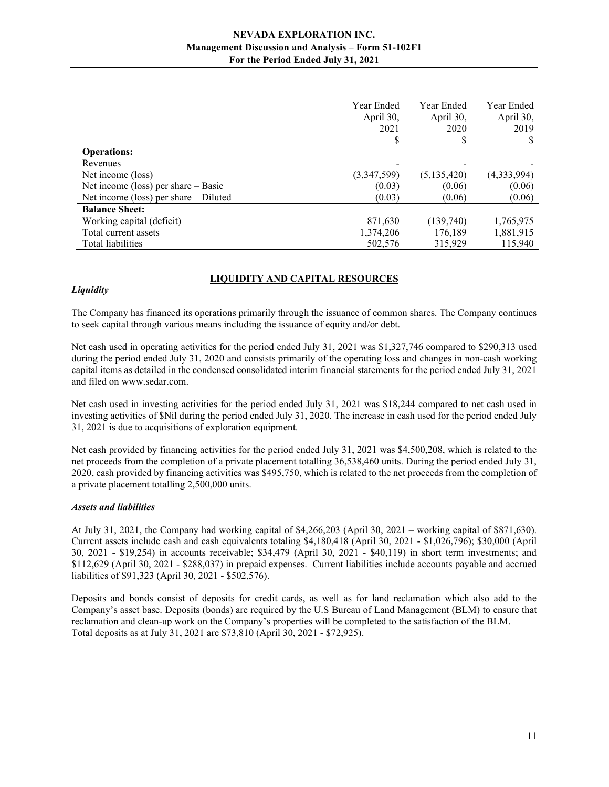|                                         | Year Ended<br>April 30,<br>2021 | Year Ended<br>April 30,<br>2020 | Year Ended<br>April 30,<br>2019 |
|-----------------------------------------|---------------------------------|---------------------------------|---------------------------------|
|                                         |                                 | \$                              |                                 |
| <b>Operations:</b>                      |                                 |                                 |                                 |
| Revenues                                |                                 |                                 |                                 |
| Net income (loss)                       | (3,347,599)                     | (5,135,420)                     | (4,333,994)                     |
| Net income (loss) per share $-$ Basic   | (0.03)                          | (0.06)                          | (0.06)                          |
| Net income (loss) per share $-$ Diluted | (0.03)                          | (0.06)                          | (0.06)                          |
| <b>Balance Sheet:</b>                   |                                 |                                 |                                 |
| Working capital (deficit)               | 871,630                         | (139,740)                       | 1,765,975                       |
| Total current assets                    | 1,374,206                       | 176,189                         | 1,881,915                       |
| Total liabilities                       | 502,576                         | 315,929                         | 115,940                         |

## LIQUIDITY AND CAPITAL RESOURCES

## **Liquidity**

The Company has financed its operations primarily through the issuance of common shares. The Company continues to seek capital through various means including the issuance of equity and/or debt.

Net cash used in operating activities for the period ended July 31, 2021 was \$1,327,746 compared to \$290,313 used during the period ended July 31, 2020 and consists primarily of the operating loss and changes in non-cash working capital items as detailed in the condensed consolidated interim financial statements for the period ended July 31, 2021 and filed on www.sedar.com.

Net cash used in investing activities for the period ended July 31, 2021 was \$18,244 compared to net cash used in investing activities of \$Nil during the period ended July 31, 2020. The increase in cash used for the period ended July 31, 2021 is due to acquisitions of exploration equipment.

Net cash provided by financing activities for the period ended July 31, 2021 was \$4,500,208, which is related to the net proceeds from the completion of a private placement totalling 36,538,460 units. During the period ended July 31, 2020, cash provided by financing activities was \$495,750, which is related to the net proceeds from the completion of a private placement totalling 2,500,000 units.

#### Assets and liabilities

At July 31, 2021, the Company had working capital of \$4,266,203 (April 30, 2021 – working capital of \$871,630). Current assets include cash and cash equivalents totaling \$4,180,418 (April 30, 2021 - \$1,026,796); \$30,000 (April 30, 2021 - \$19,254) in accounts receivable; \$34,479 (April 30, 2021 - \$40,119) in short term investments; and \$112,629 (April 30, 2021 - \$288,037) in prepaid expenses. Current liabilities include accounts payable and accrued liabilities of \$91,323 (April 30, 2021 - \$502,576).

Deposits and bonds consist of deposits for credit cards, as well as for land reclamation which also add to the Company's asset base. Deposits (bonds) are required by the U.S Bureau of Land Management (BLM) to ensure that reclamation and clean-up work on the Company's properties will be completed to the satisfaction of the BLM. Total deposits as at July 31, 2021 are \$73,810 (April 30, 2021 - \$72,925).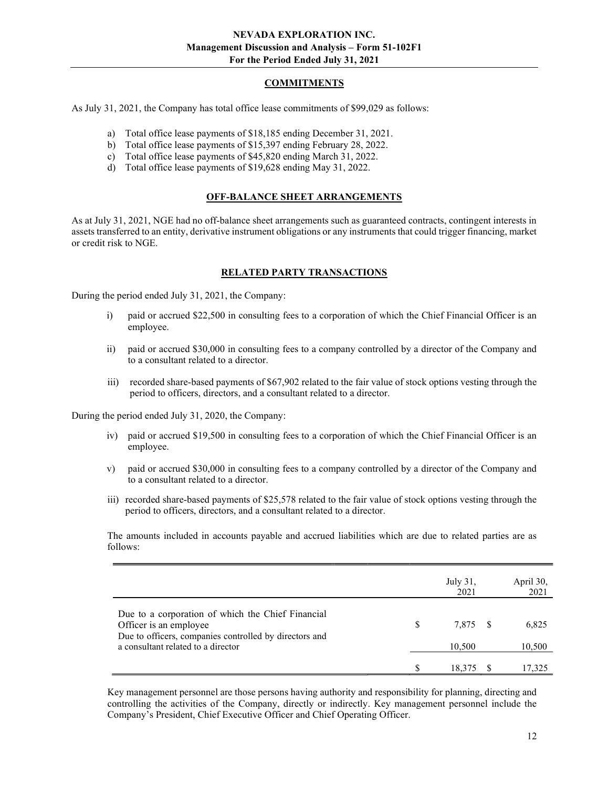## COMMITMENTS

As July 31, 2021, the Company has total office lease commitments of \$99,029 as follows:

- a) Total office lease payments of \$18,185 ending December 31, 2021.
- b) Total office lease payments of \$15,397 ending February 28, 2022.
- c) Total office lease payments of \$45,820 ending March 31, 2022.
- d) Total office lease payments of \$19,628 ending May 31, 2022.

## OFF-BALANCE SHEET ARRANGEMENTS

As at July 31, 2021, NGE had no off-balance sheet arrangements such as guaranteed contracts, contingent interests in assets transferred to an entity, derivative instrument obligations or any instruments that could trigger financing, market or credit risk to NGE.

# RELATED PARTY TRANSACTIONS

During the period ended July 31, 2021, the Company:

- i) paid or accrued \$22,500 in consulting fees to a corporation of which the Chief Financial Officer is an employee.
- ii) paid or accrued \$30,000 in consulting fees to a company controlled by a director of the Company and to a consultant related to a director.
- iii) recorded share-based payments of \$67,902 related to the fair value of stock options vesting through the period to officers, directors, and a consultant related to a director.

During the period ended July 31, 2020, the Company:

- iv) paid or accrued \$19,500 in consulting fees to a corporation of which the Chief Financial Officer is an employee.
- v) paid or accrued \$30,000 in consulting fees to a company controlled by a director of the Company and to a consultant related to a director.
- iii) recorded share-based payments of \$25,578 related to the fair value of stock options vesting through the period to officers, directors, and a consultant related to a director.

The amounts included in accounts payable and accrued liabilities which are due to related parties are as follows:

|                                                                                                                                       |     | July 31,<br>2021 | April 30,<br>2021 |
|---------------------------------------------------------------------------------------------------------------------------------------|-----|------------------|-------------------|
| Due to a corporation of which the Chief Financial<br>Officer is an employee<br>Due to officers, companies controlled by directors and | \$. | 7.875 \$         | 6,825             |
| a consultant related to a director                                                                                                    |     | 10,500           | 10,500            |
|                                                                                                                                       |     | 18,375           | 17,325            |

Key management personnel are those persons having authority and responsibility for planning, directing and controlling the activities of the Company, directly or indirectly. Key management personnel include the Company's President, Chief Executive Officer and Chief Operating Officer.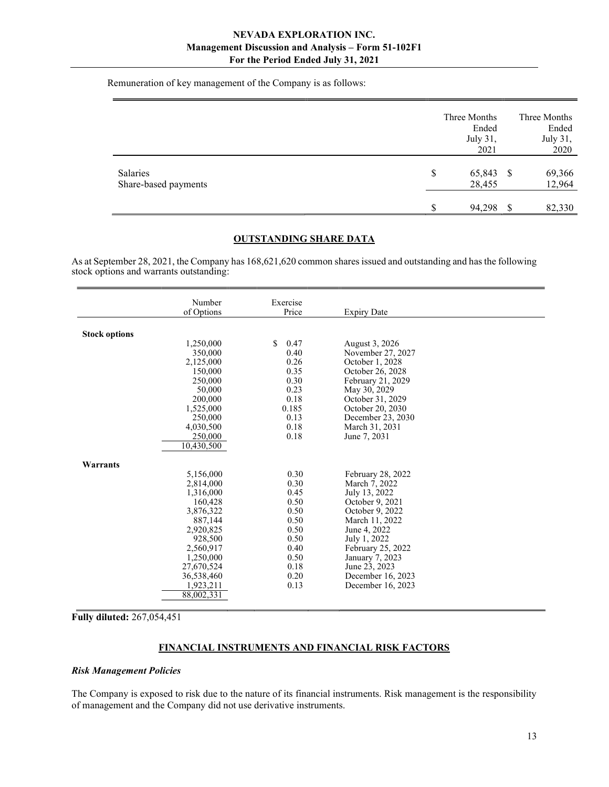Remuneration of key management of the Company is as follows:

|                                  |    | Three Months<br>Ended<br>July 31,<br>2021 |   | Three Months<br>Ended<br>July 31,<br>2020 |
|----------------------------------|----|-------------------------------------------|---|-------------------------------------------|
| Salaries<br>Share-based payments | \$ | 65,843 \$<br>28,455                       |   | 69,366<br>12,964                          |
|                                  | S  | 94,298                                    | S | 82,330                                    |

#### OUTSTANDING SHARE DATA

As at September 28, 2021, the Company has 168,621,620 common shares issued and outstanding and has the following stock options and warrants outstanding:

|                      | Number     | Exercise   |                    |  |
|----------------------|------------|------------|--------------------|--|
|                      | of Options | Price      | <b>Expiry Date</b> |  |
|                      |            |            |                    |  |
| <b>Stock options</b> |            |            |                    |  |
|                      | 1,250,000  | 0.47<br>S. | August 3, 2026     |  |
|                      | 350,000    | 0.40       | November 27, 2027  |  |
|                      | 2,125,000  | 0.26       | October 1, 2028    |  |
|                      | 150,000    | 0.35       | October 26, 2028   |  |
|                      | 250,000    | 0.30       | February 21, 2029  |  |
|                      | 50,000     | 0.23       | May 30, 2029       |  |
|                      | 200,000    | 0.18       | October 31, 2029   |  |
|                      | 1,525,000  | 0.185      | October 20, 2030   |  |
|                      | 250,000    | 0.13       | December 23, 2030  |  |
|                      | 4,030,500  | 0.18       | March 31, 2031     |  |
|                      | 250,000    | 0.18       | June 7, 2031       |  |
|                      | 10,430,500 |            |                    |  |
|                      |            |            |                    |  |
| Warrants             |            |            |                    |  |
|                      | 5,156,000  | 0.30       | February 28, 2022  |  |
|                      | 2,814,000  | 0.30       | March 7, 2022      |  |
|                      | 1,316,000  | 0.45       | July 13, 2022      |  |
|                      | 160,428    | 0.50       | October 9, 2021    |  |
|                      | 3,876,322  | 0.50       | October 9, 2022    |  |
|                      | 887,144    | 0.50       | March 11, 2022     |  |
|                      | 2,920,825  | 0.50       | June 4, 2022       |  |
|                      | 928,500    | 0.50       | July 1, 2022       |  |
|                      | 2,560,917  | 0.40       | February 25, 2022  |  |
|                      | 1,250,000  | 0.50       | January 7, 2023    |  |
|                      | 27,670,524 | 0.18       | June 23, 2023      |  |
|                      | 36,538,460 | 0.20       | December 16, 2023  |  |
|                      | 1,923,211  | 0.13       | December 16, 2023  |  |
|                      | 88,002,331 |            |                    |  |

Fully diluted: 267,054,451

# FINANCIAL INSTRUMENTS AND FINANCIAL RISK FACTORS

#### Risk Management Policies

The Company is exposed to risk due to the nature of its financial instruments. Risk management is the responsibility of management and the Company did not use derivative instruments.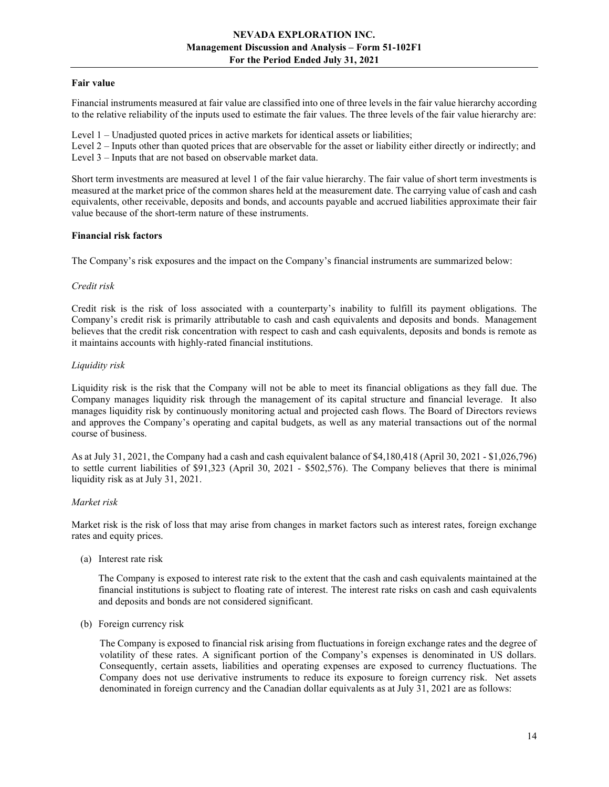### Fair value

Financial instruments measured at fair value are classified into one of three levels in the fair value hierarchy according to the relative reliability of the inputs used to estimate the fair values. The three levels of the fair value hierarchy are:

Level 1 – Unadjusted quoted prices in active markets for identical assets or liabilities;

Level 2 – Inputs other than quoted prices that are observable for the asset or liability either directly or indirectly; and Level 3 – Inputs that are not based on observable market data.

Short term investments are measured at level 1 of the fair value hierarchy. The fair value of short term investments is measured at the market price of the common shares held at the measurement date. The carrying value of cash and cash equivalents, other receivable, deposits and bonds, and accounts payable and accrued liabilities approximate their fair value because of the short-term nature of these instruments.

#### Financial risk factors

The Company's risk exposures and the impact on the Company's financial instruments are summarized below:

#### Credit risk

Credit risk is the risk of loss associated with a counterparty's inability to fulfill its payment obligations. The Company's credit risk is primarily attributable to cash and cash equivalents and deposits and bonds. Management believes that the credit risk concentration with respect to cash and cash equivalents, deposits and bonds is remote as it maintains accounts with highly-rated financial institutions.

## Liquidity risk

Liquidity risk is the risk that the Company will not be able to meet its financial obligations as they fall due. The Company manages liquidity risk through the management of its capital structure and financial leverage. It also manages liquidity risk by continuously monitoring actual and projected cash flows. The Board of Directors reviews and approves the Company's operating and capital budgets, as well as any material transactions out of the normal course of business.

As at July 31, 2021, the Company had a cash and cash equivalent balance of \$4,180,418 (April 30, 2021 - \$1,026,796) to settle current liabilities of \$91,323 (April 30, 2021 - \$502,576). The Company believes that there is minimal liquidity risk as at July 31, 2021.

## Market risk

Market risk is the risk of loss that may arise from changes in market factors such as interest rates, foreign exchange rates and equity prices.

(a) Interest rate risk

 The Company is exposed to interest rate risk to the extent that the cash and cash equivalents maintained at the financial institutions is subject to floating rate of interest. The interest rate risks on cash and cash equivalents and deposits and bonds are not considered significant.

(b) Foreign currency risk

The Company is exposed to financial risk arising from fluctuations in foreign exchange rates and the degree of volatility of these rates. A significant portion of the Company's expenses is denominated in US dollars. Consequently, certain assets, liabilities and operating expenses are exposed to currency fluctuations. The Company does not use derivative instruments to reduce its exposure to foreign currency risk. Net assets denominated in foreign currency and the Canadian dollar equivalents as at July 31, 2021 are as follows: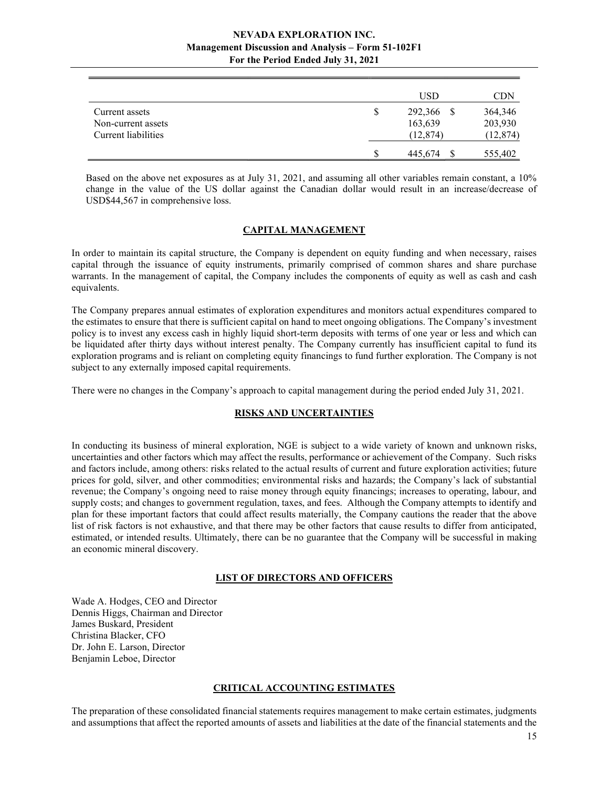|                                                             |    | USD                             | CDN                             |
|-------------------------------------------------------------|----|---------------------------------|---------------------------------|
| Current assets<br>Non-current assets<br>Current liabilities | \$ | 292,366<br>163,639<br>(12, 874) | 364,346<br>203,930<br>(12, 874) |
|                                                             | S  | 445,674                         | 555,402                         |

Based on the above net exposures as at July 31, 2021, and assuming all other variables remain constant, a 10% change in the value of the US dollar against the Canadian dollar would result in an increase/decrease of USD\$44,567 in comprehensive loss.

## CAPITAL MANAGEMENT

In order to maintain its capital structure, the Company is dependent on equity funding and when necessary, raises capital through the issuance of equity instruments, primarily comprised of common shares and share purchase warrants. In the management of capital, the Company includes the components of equity as well as cash and cash equivalents.

The Company prepares annual estimates of exploration expenditures and monitors actual expenditures compared to the estimates to ensure that there is sufficient capital on hand to meet ongoing obligations. The Company's investment policy is to invest any excess cash in highly liquid short-term deposits with terms of one year or less and which can be liquidated after thirty days without interest penalty. The Company currently has insufficient capital to fund its exploration programs and is reliant on completing equity financings to fund further exploration. The Company is not subject to any externally imposed capital requirements.

There were no changes in the Company's approach to capital management during the period ended July 31, 2021.

## RISKS AND UNCERTAINTIES

In conducting its business of mineral exploration, NGE is subject to a wide variety of known and unknown risks, uncertainties and other factors which may affect the results, performance or achievement of the Company. Such risks and factors include, among others: risks related to the actual results of current and future exploration activities; future prices for gold, silver, and other commodities; environmental risks and hazards; the Company's lack of substantial revenue; the Company's ongoing need to raise money through equity financings; increases to operating, labour, and supply costs; and changes to government regulation, taxes, and fees. Although the Company attempts to identify and plan for these important factors that could affect results materially, the Company cautions the reader that the above list of risk factors is not exhaustive, and that there may be other factors that cause results to differ from anticipated, estimated, or intended results. Ultimately, there can be no guarantee that the Company will be successful in making an economic mineral discovery.

#### LIST OF DIRECTORS AND OFFICERS

Wade A. Hodges, CEO and Director Dennis Higgs, Chairman and Director James Buskard, President Christina Blacker, CFO Dr. John E. Larson, Director Benjamin Leboe, Director

## CRITICAL ACCOUNTING ESTIMATES

The preparation of these consolidated financial statements requires management to make certain estimates, judgments and assumptions that affect the reported amounts of assets and liabilities at the date of the financial statements and the